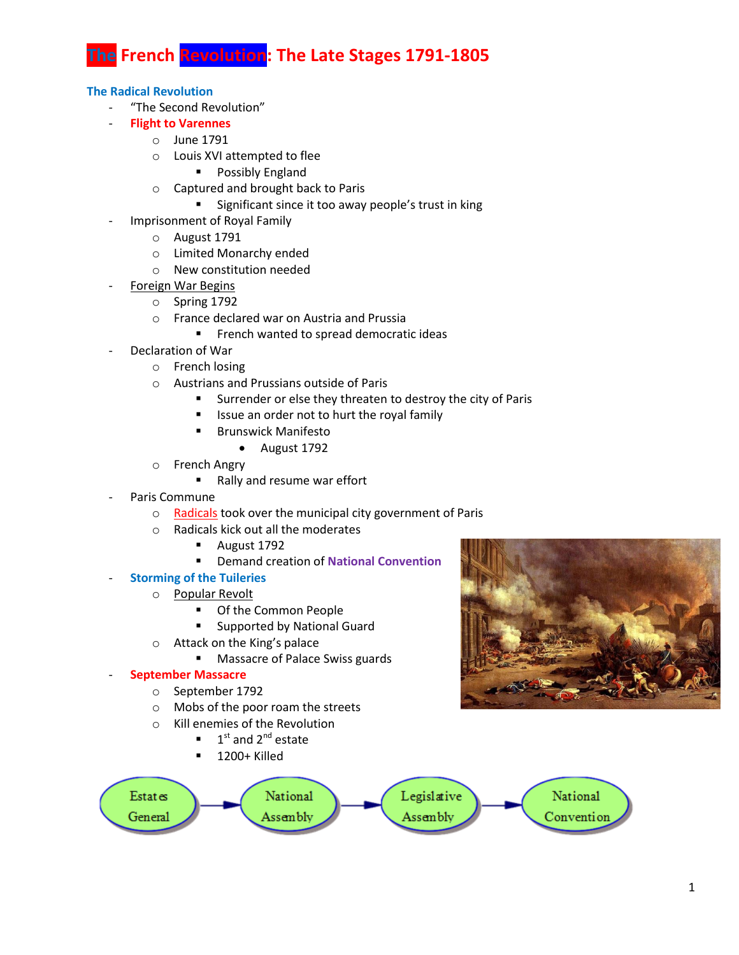**The French Revolution: The Late Stages 1791-1805**

### **The Radical Revolution**

- "The Second Revolution"
- **Flight to Varennes**
	- o June 1791
	- o Louis XVI attempted to flee
		- **Possibly England**
	- o Captured and brought back to Paris
		- **Significant since it too away people's trust in king**
- Imprisonment of Royal Family
	- o August 1791
	- o Limited Monarchy ended
	- o New constitution needed
- Foreign War Begins
	- o Spring 1792
	- o France declared war on Austria and Prussia
		- **FIGULE 1** French wanted to spread democratic ideas
- Declaration of War
	- o French losing
	- o Austrians and Prussians outside of Paris
		- Surrender or else they threaten to destroy the city of Paris
		- **If** Issue an order not to hurt the royal family
		- **Brunswick Manifesto** 
			- August 1792
	- o French Angry
		- Rally and resume war effort
- Paris Commune
	- o Radicals took over the municipal city government of Paris
	- o Radicals kick out all the moderates
		- **August 1792**
		- Demand creation of **National Convention**

# - **Storming of the Tuileries**

- o Popular Revolt
	- **Of the Common People**
	- **Example 2** Supported by National Guard
- o Attack on the King's palace
	- **Massacre of Palace Swiss guards**

### - **September Massacre**

- o September 1792
- o Mobs of the poor roam the streets
- o Kill enemies of the Revolution
	- $\blacksquare$  1<sup>st</sup> and 2<sup>nd</sup> estate
	- 1200+ Killed



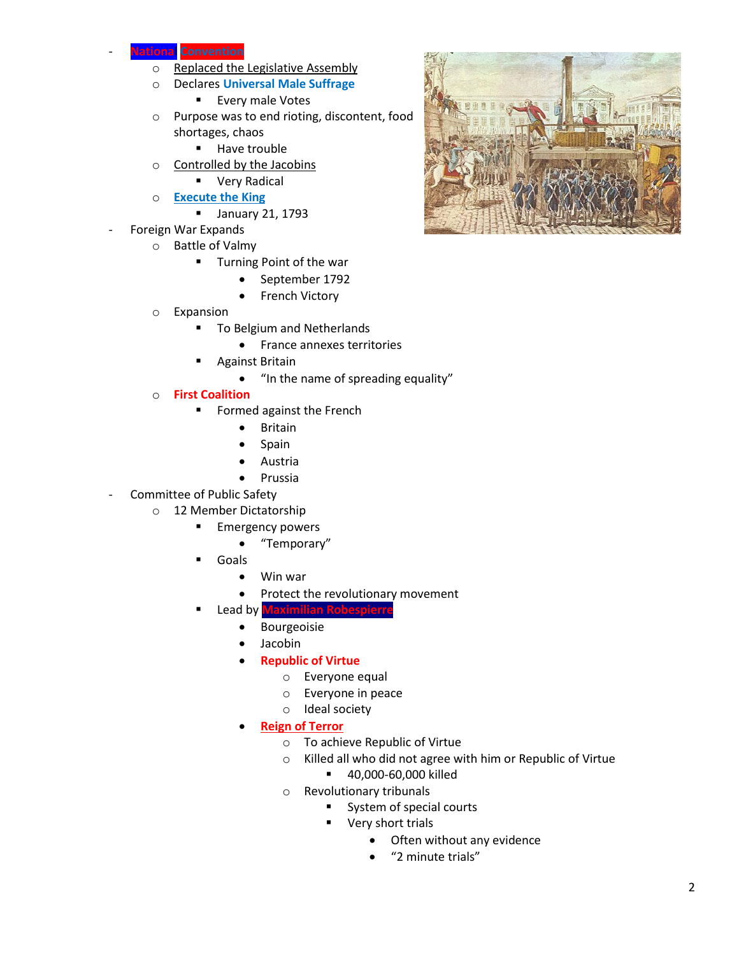## **ARAIDED CONVENTION**

- o Replaced the Legislative Assembly
- o Declares **Universal Male Suffrage**
	- **Every male Votes**
- o Purpose was to end rioting, discontent, food shortages, chaos
	- **Have trouble**
- o Controlled by the Jacobins
	- **•** Very Radical
- o **Execute the King**
	- **January 21, 1793**
- Foreign War Expands
	- o Battle of Valmy
		- **Turning Point of the war** 
			- September 1792
			- French Victory
	- o Expansion
		- **To Belgium and Netherlands** 
			- France annexes territories
		- Against Britain
			- "In the name of spreading equality"
	- o **First Coalition**
		- **Formed against the French** 
			- **•** Britain
			- Spain
			- Austria
			- **•** Prussia
- Committee of Public Safety
	- o 12 Member Dictatorship
		- **Emergency powers** 
			- "Temporary"
		- Goals
			- Win war
			- Protect the revolutionary movement
		- Lead by **Maximilian Robespierre**
			- **•** Bourgeoisie
			- Jacobin
			- **Republic of Virtue**
				- o Everyone equal
				- o Everyone in peace
				- o Ideal society
			- **Reign of Terror**
				- o To achieve Republic of Virtue
				- o Killed all who did not agree with him or Republic of Virtue
					- 40,000-60,000 killed
				- o Revolutionary tribunals
					- System of special courts
					- **very short trials** 
						- Often without any evidence
						- "2 minute trials"

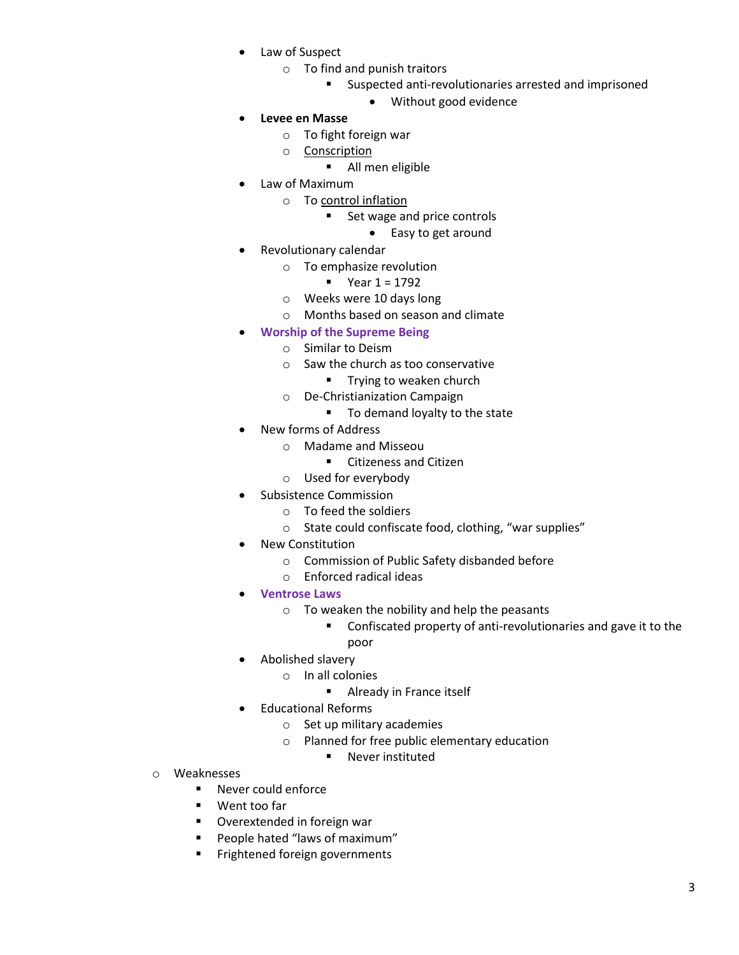- Law of Suspect
	- o To find and punish traitors
		- **Suspected anti-revolutionaries arrested and imprisoned** 
			- Without good evidence
- **Levee en Masse**
	- o To fight foreign war
	- o Conscription
		- **All men eligible**
- Law of Maximum
	- o To control inflation
		- Set wage and price controls
			- Easy to get around
- Revolutionary calendar
	- o To emphasize revolution
		- $Year 1 = 1792$
	- o Weeks were 10 days long
	- o Months based on season and climate
- **Worship of the Supreme Being**
	- o Similar to Deism
		- o Saw the church as too conservative
			- **Trying to weaken church**
		- o De-Christianization Campaign
			- To demand loyalty to the state
- New forms of Address
	- o Madame and Misseou
		- **EXEC** Citizeness and Citizen
	- o Used for everybody
- Subsistence Commission
	- o To feed the soldiers
	- o State could confiscate food, clothing, "war supplies"
- New Constitution
	- o Commission of Public Safety disbanded before
	- o Enforced radical ideas
- **Ventrose Laws**
	- o To weaken the nobility and help the peasants
		- **Confiscated property of anti-revolutionaries and gave it to the** poor
		-
- Abolished slavery
	- o In all colonies
		- **Already in France itself**
- Educational Reforms
	- o Set up military academies
	- o Planned for free public elementary education
		- **Never instituted**
- o Weaknesses
	- Never could enforce
	- Went too far
	- Overextended in foreign war
	- People hated "laws of maximum"
	- Frightened foreign governments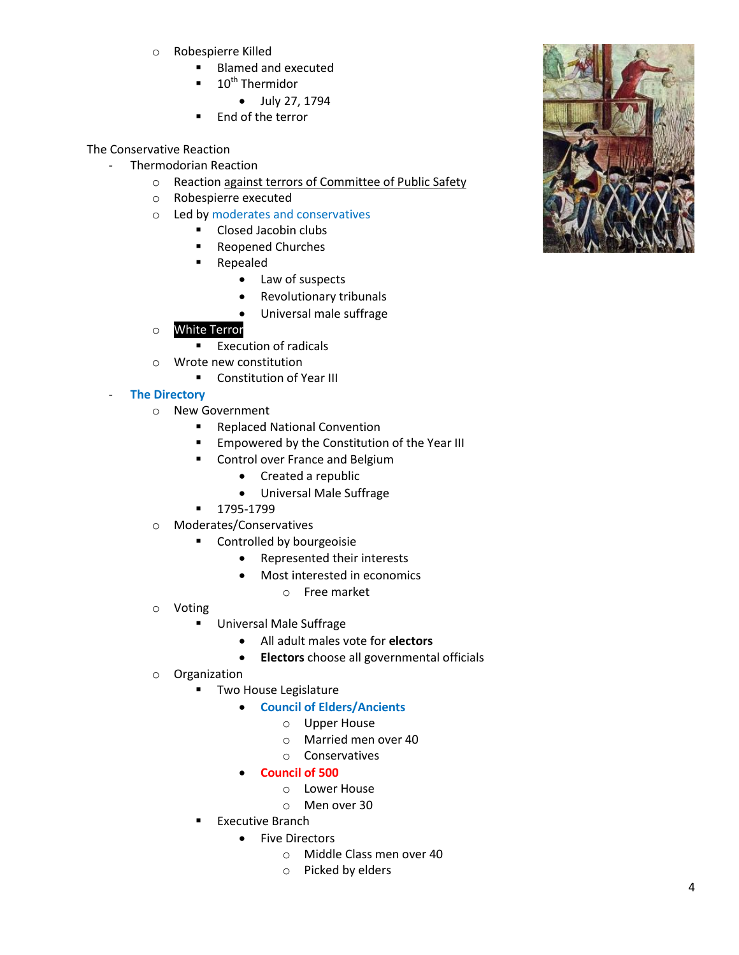- o Robespierre Killed
	- Blamed and executed
	- 10<sup>th</sup> Thermidor
		- July 27, 1794
	- End of the terror

The Conservative Reaction

- Thermodorian Reaction
	- o Reaction against terrors of Committee of Public Safety
	- o Robespierre executed
	- o Led by moderates and conservatives
		- **Closed Jacobin clubs**
		- Reopened Churches
		- Repealed
			- Law of suspects
			- Revolutionary tribunals
			- Universal male suffrage
	- o White Terror
		- Execution of radicals
	- o Wrote new constitution
		- **Constitution of Year III**

### - **The Directory**

- o New Government
	- Replaced National Convention
	- **Empowered by the Constitution of the Year III**
	- **EXECONTROL OVER France and Belgium** 
		- Created a republic
		- Universal Male Suffrage
	- 1795-1799
- o Moderates/Conservatives
	- **EXECONTROLLED EXECUTE:** Controlled by bourgeoisie
		- Represented their interests
		- Most interested in economics
			- o Free market
- o Voting
	- Universal Male Suffrage
		- All adult males vote for **electors**
		- **Electors** choose all governmental officials
- o Organization
	- **Two House Legislature** 
		- **Council of Elders/Ancients**
			- o Upper House
			- o Married men over 40
			- o Conservatives
		- **Council of 500**
			- o Lower House
			- o Men over 30
	- Executive Branch
		- Five Directors
			- o Middle Class men over 40
			- o Picked by elders

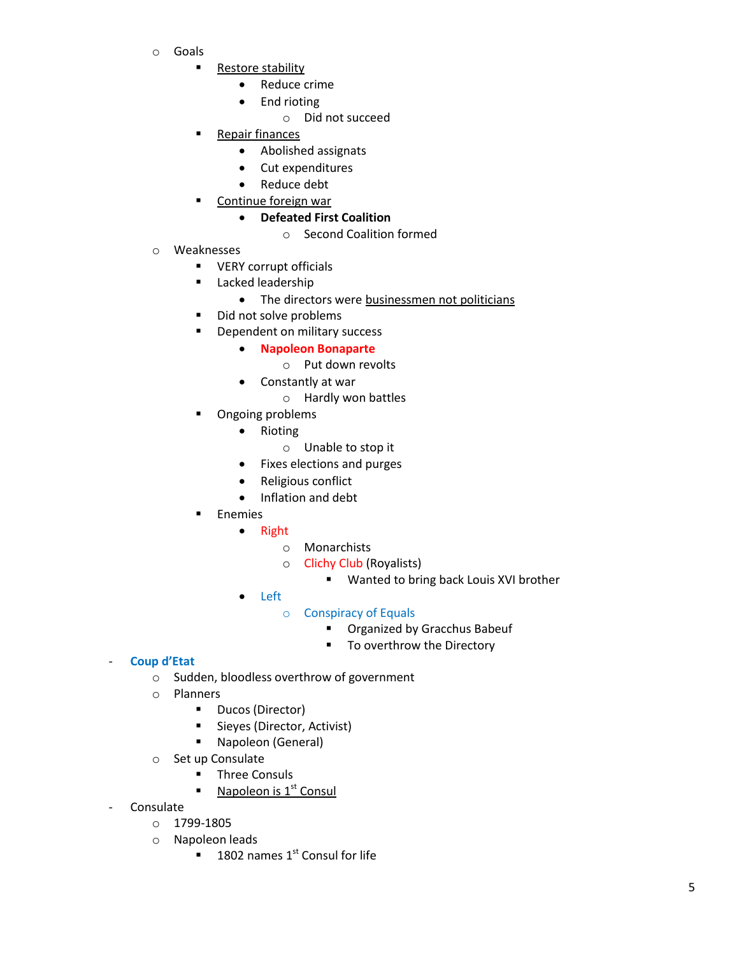- o Goals
	- **Restore stability** 
		- Reduce crime
		- End rioting
			- o Did not succeed
		- Repair finances
			- Abolished assignats
			- Cut expenditures
			- Reduce debt
	- Continue foreign war

# **Defeated First Coalition**

- o Second Coalition formed
- o Weaknesses
	- **•** VERY corrupt officials
	- **Lacked leadership** 
		- The directors were businessmen not politicians
	- Did not solve problems
	- **•** Dependent on military success
		- **Napoleon Bonaparte** 
			- o Put down revolts
		- Constantly at war
			- o Hardly won battles
	- Ongoing problems
		- Rioting
			- o Unable to stop it
		- Fixes elections and purges
		- Religious conflict
		- Inflation and debt
	- **Enemies** 
		- Right
			- o Monarchists
			- o Clichy Club (Royalists)
				- **Wanted to bring back Louis XVI brother**
		- Left
			- o Conspiracy of Equals
				- **Organized by Gracchus Babeuf**
				- To overthrow the Directory

# - **Coup d'Etat**

- o Sudden, bloodless overthrow of government
- o Planners
	- **-** Ducos (Director)
	- **Sieyes (Director, Activist)**
	- **Napoleon (General)**
- o Set up Consulate
	- **Three Consuls**
	- Napoleon is  $1<sup>st</sup>$  Consul
- **Consulate** 
	- o 1799-1805
	- o Napoleon leads
		- $\blacksquare$  1802 names 1<sup>st</sup> Consul for life